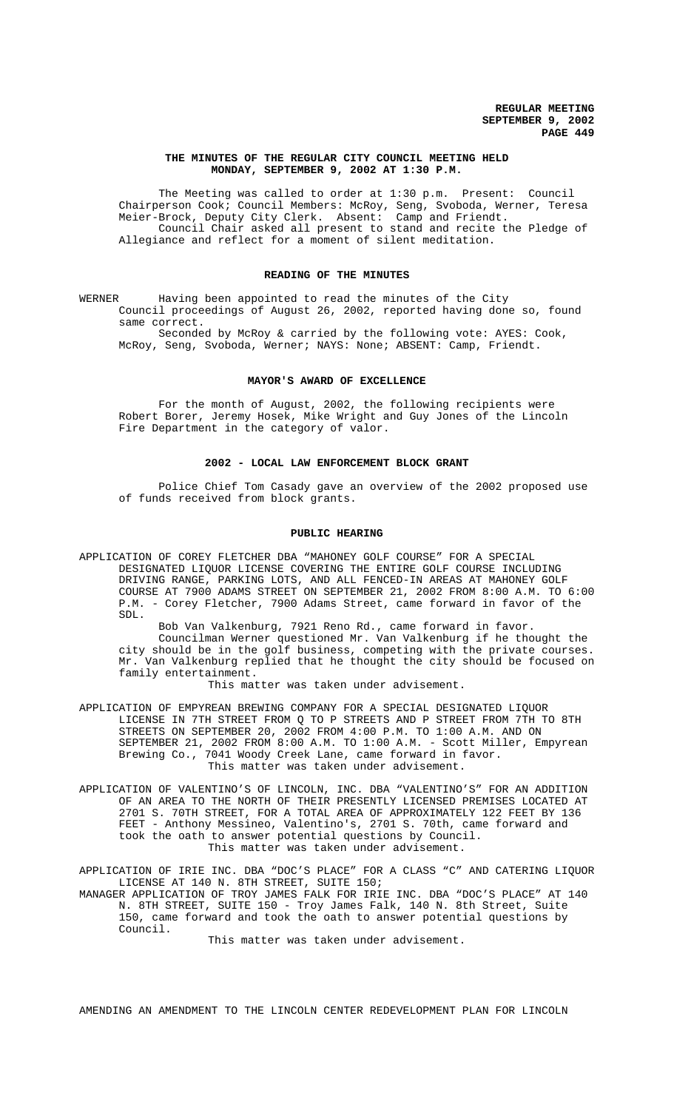### **THE MINUTES OF THE REGULAR CITY COUNCIL MEETING HELD MONDAY, SEPTEMBER 9, 2002 AT 1:30 P.M.**

The Meeting was called to order at 1:30 p.m. Present: Council Chairperson Cook; Council Members: McRoy, Seng, Svoboda, Werner, Teresa Meier-Brock, Deputy City Clerk. Absent: Camp and Friendt. Council Chair asked all present to stand and recite the Pledge of Allegiance and reflect for a moment of silent meditation.

#### **READING OF THE MINUTES**

WERNER Having been appointed to read the minutes of the City Council proceedings of August 26, 2002, reported having done so, found same correct.

Seconded by McRoy & carried by the following vote: AYES: Cook, McRoy, Seng, Svoboda, Werner; NAYS: None; ABSENT: Camp, Friendt.

### **MAYOR'S AWARD OF EXCELLENCE**

For the month of August, 2002, the following recipients were Robert Borer, Jeremy Hosek, Mike Wright and Guy Jones of the Lincoln Fire Department in the category of valor.

#### **2002 - LOCAL LAW ENFORCEMENT BLOCK GRANT**

Police Chief Tom Casady gave an overview of the 2002 proposed use of funds received from block grants.

#### **PUBLIC HEARING**

APPLICATION OF COREY FLETCHER DBA "MAHONEY GOLF COURSE" FOR A SPECIAL DESIGNATED LIQUOR LICENSE COVERING THE ENTIRE GOLF COURSE INCLUDING DRIVING RANGE, PARKING LOTS, AND ALL FENCED-IN AREAS AT MAHONEY GOLF COURSE AT 7900 ADAMS STREET ON SEPTEMBER 21, 2002 FROM 8:00 A.M. TO 6:00 P.M. - Corey Fletcher, 7900 Adams Street, came forward in favor of the SDL.

Bob Van Valkenburg, 7921 Reno Rd., came forward in favor. Councilman Werner questioned Mr. Van Valkenburg if he thought the city should be in the golf business, competing with the private courses. Mr. Van Valkenburg replied that he thought the city should be focused on family entertainment.

This matter was taken under advisement.

APPLICATION OF EMPYREAN BREWING COMPANY FOR A SPECIAL DESIGNATED LIQUOR LICENSE IN 7TH STREET FROM Q TO P STREETS AND P STREET FROM 7TH TO 8TH STREETS ON SEPTEMBER 20, 2002 FROM 4:00 P.M. TO 1:00 A.M. AND ON SEPTEMBER 21, 2002 FROM 8:00 A.M. TO 1:00 A.M. - Scott Miller, Empyrean Brewing Co., 7041 Woody Creek Lane, came forward in favor. This matter was taken under advisement.

APPLICATION OF VALENTINO'S OF LINCOLN, INC. DBA "VALENTINO'S" FOR AN ADDITION OF AN AREA TO THE NORTH OF THEIR PRESENTLY LICENSED PREMISES LOCATED AT 2701 S. 70TH STREET, FOR A TOTAL AREA OF APPROXIMATELY 122 FEET BY 136 FEET - Anthony Messineo, Valentino's, 2701 S. 70th, came forward and took the oath to answer potential questions by Council. This matter was taken under advisement.

APPLICATION OF IRIE INC. DBA "DOC'S PLACE" FOR A CLASS "C" AND CATERING LIQUOR LICENSE AT 140 N. 8TH STREET, SUITE 150;

MANAGER APPLICATION OF TROY JAMES FALK FOR IRIE INC. DBA "DOC'S PLACE" AT 140 N. 8TH STREET, SUITE 150 - Troy James Falk, 140 N. 8th Street, Suite 150, came forward and took the oath to answer potential questions by Council.

This matter was taken under advisement.

AMENDING AN AMENDMENT TO THE LINCOLN CENTER REDEVELOPMENT PLAN FOR LINCOLN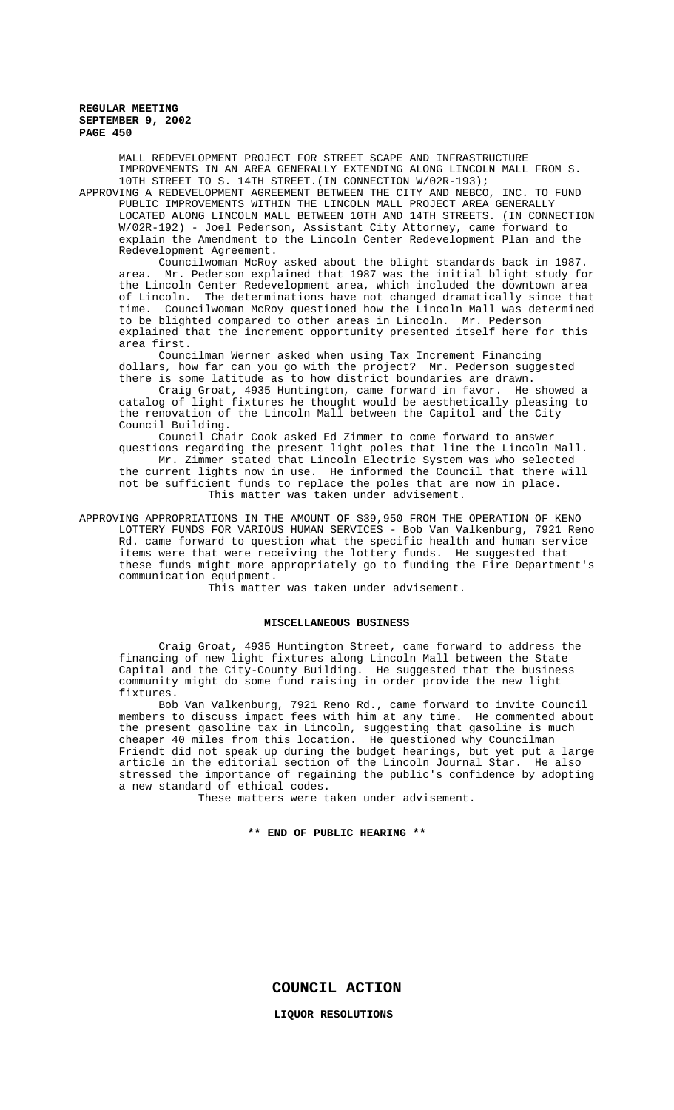MALL REDEVELOPMENT PROJECT FOR STREET SCAPE AND INFRASTRUCTURE IMPROVEMENTS IN AN AREA GENERALLY EXTENDING ALONG LINCOLN MALL FROM S. 10TH STREET TO S. 14TH STREET.(IN CONNECTION W/02R-193);

APPROVING A REDEVELOPMENT AGREEMENT BETWEEN THE CITY AND NEBCO, INC. TO FUND PUBLIC IMPROVEMENTS WITHIN THE LINCOLN MALL PROJECT AREA GENERALLY LOCATED ALONG LINCOLN MALL BETWEEN 10TH AND 14TH STREETS. (IN CONNECTION W/02R-192) - Joel Pederson, Assistant City Attorney, came forward to explain the Amendment to the Lincoln Center Redevelopment Plan and the Redevelopment Agreement.

Councilwoman McRoy asked about the blight standards back in 1987. area. Mr. Pederson explained that 1987 was the initial blight study for the Lincoln Center Redevelopment area, which included the downtown area of Lincoln. The determinations have not changed dramatically since that time. Councilwoman McRoy questioned how the Lincoln Mall was determined to be blighted compared to other areas in Lincoln. Mr. Pederson explained that the increment opportunity presented itself here for this area first.

Councilman Werner asked when using Tax Increment Financing dollars, how far can you go with the project? Mr. Pederson suggested there is some latitude as to how district boundaries are drawn.

Craig Groat, 4935 Huntington, came forward in favor. He showed a catalog of light fixtures he thought would be aesthetically pleasing to the renovation of the Lincoln Mall between the Capitol and the City Council Building.

Council Chair Cook asked Ed Zimmer to come forward to answer questions regarding the present light poles that line the Lincoln Mall.

Mr. Zimmer stated that Lincoln Electric System was who selected the current lights now in use. He informed the Council that there will not be sufficient funds to replace the poles that are now in place. This matter was taken under advisement.

APPROVING APPROPRIATIONS IN THE AMOUNT OF \$39,950 FROM THE OPERATION OF KENO LOTTERY FUNDS FOR VARIOUS HUMAN SERVICES - Bob Van Valkenburg, 7921 Reno Rd. came forward to question what the specific health and human service items were that were receiving the lottery funds. He suggested that these funds might more appropriately go to funding the Fire Department's communication equipment.

This matter was taken under advisement.

#### **MISCELLANEOUS BUSINESS**

Craig Groat, 4935 Huntington Street, came forward to address the financing of new light fixtures along Lincoln Mall between the State Capital and the City-County Building. He suggested that the business community might do some fund raising in order provide the new light fixtures.

Bob Van Valkenburg, 7921 Reno Rd., came forward to invite Council members to discuss impact fees with him at any time. He commented about the present gasoline tax in Lincoln, suggesting that gasoline is much cheaper 40 miles from this location. He questioned why Councilman Friendt did not speak up during the budget hearings, but yet put a large article in the editorial section of the Lincoln Journal Star. He also stressed the importance of regaining the public's confidence by adopting a new standard of ethical codes.

These matters were taken under advisement.

## **\*\* END OF PUBLIC HEARING \*\***

**COUNCIL ACTION**

**LIQUOR RESOLUTIONS**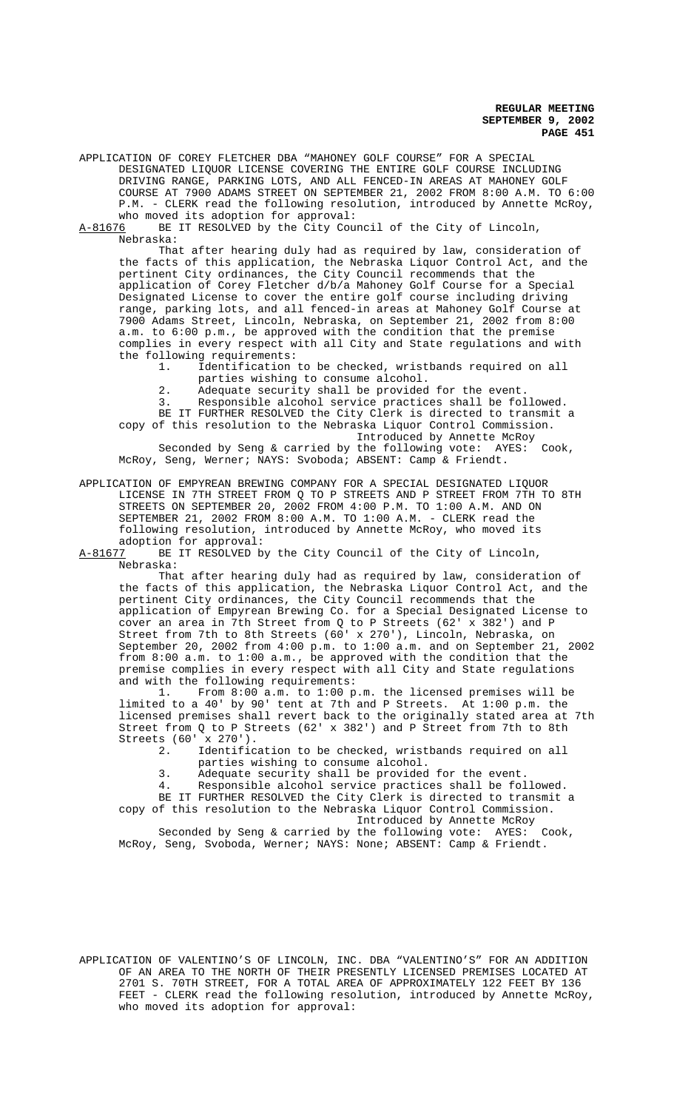APPLICATION OF COREY FLETCHER DBA "MAHONEY GOLF COURSE" FOR A SPECIAL DESIGNATED LIQUOR LICENSE COVERING THE ENTIRE GOLF COURSE INCLUDING DRIVING RANGE, PARKING LOTS, AND ALL FENCED-IN AREAS AT MAHONEY GOLF COURSE AT 7900 ADAMS STREET ON SEPTEMBER 21, 2002 FROM 8:00 A.M. TO 6:00 P.M. - CLERK read the following resolution, introduced by Annette McRoy, who moved its adoption for approval:

A-81676 BE IT RESOLVED by the City Council of the City of Lincoln, Nebraska:

That after hearing duly had as required by law, consideration of the facts of this application, the Nebraska Liquor Control Act, and the pertinent City ordinances, the City Council recommends that the application of Corey Fletcher d/b/a Mahoney Golf Course for a Special Designated License to cover the entire golf course including driving range, parking lots, and all fenced-in areas at Mahoney Golf Course at 7900 Adams Street, Lincoln, Nebraska, on September 21, 2002 from 8:00 a.m. to 6:00 p.m., be approved with the condition that the premise complies in every respect with all City and State regulations and with the following requirements:

1. Identification to be checked, wristbands required on all parties wishing to consume alcohol.

2. Adequate security shall be provided for the event.<br>3. Responsible alcohol service practices shall be for

Responsible alcohol service practices shall be followed. BE IT FURTHER RESOLVED the City Clerk is directed to transmit a copy of this resolution to the Nebraska Liquor Control Commission.

Introduced by Annette McRoy

Seconded by Seng & carried by the following vote: AYES: Cook, McRoy, Seng, Werner; NAYS: Svoboda; ABSENT: Camp & Friendt.

APPLICATION OF EMPYREAN BREWING COMPANY FOR A SPECIAL DESIGNATED LIQUOR LICENSE IN 7TH STREET FROM Q TO P STREETS AND P STREET FROM 7TH TO 8TH STREETS ON SEPTEMBER 20, 2002 FROM 4:00 P.M. TO 1:00 A.M. AND ON SEPTEMBER 21, 2002 FROM 8:00 A.M. TO 1:00 A.M. - CLERK read the following resolution, introduced by Annette McRoy, who moved its adoption for approval:<br>A-81677 BE IT RESOLVED b

BE IT RESOLVED by the City Council of the City of Lincoln, Nebraska:

That after hearing duly had as required by law, consideration of the facts of this application, the Nebraska Liquor Control Act, and the pertinent City ordinances, the City Council recommends that the application of Empyrean Brewing Co. for a Special Designated License to cover an area in 7th Street from Q to P Streets (62' x 382') and P Street from 7th to 8th Streets (60' x 270'), Lincoln, Nebraska, on September 20, 2002 from 4:00 p.m. to 1:00 a.m. and on September 21, 2002 from 8:00 a.m. to 1:00 a.m., be approved with the condition that the premise complies in every respect with all City and State regulations and with the following requirements:

1. From 8:00 a.m. to 1:00 p.m. the licensed premises will be limited to a 40' by 90' tent at 7th and P Streets. At 1:00 p.m. the licensed premises shall revert back to the originally stated area at 7th Street from Q to P Streets (62' x 382') and P Street from 7th to 8th Streets (60' x 270').<br>2. Identific

Identification to be checked, wristbands required on all parties wishing to consume alcohol.

- 3. Adequate security shall be provided for the event.
- 4. Responsible alcohol service practices shall be followed.

BE IT FURTHER RESOLVED the City Clerk is directed to transmit a copy of this resolution to the Nebraska Liquor Control Commission.

Introduced by Annette McRoy

Seconded by Seng & carried by the following vote: AYES: Cook, McRoy, Seng, Svoboda, Werner; NAYS: None; ABSENT: Camp & Friendt.

APPLICATION OF VALENTINO'S OF LINCOLN, INC. DBA "VALENTINO'S" FOR AN ADDITION OF AN AREA TO THE NORTH OF THEIR PRESENTLY LICENSED PREMISES LOCATED AT 2701 S. 70TH STREET, FOR A TOTAL AREA OF APPROXIMATELY 122 FEET BY 136 FEET - CLERK read the following resolution, introduced by Annette McRoy, who moved its adoption for approval: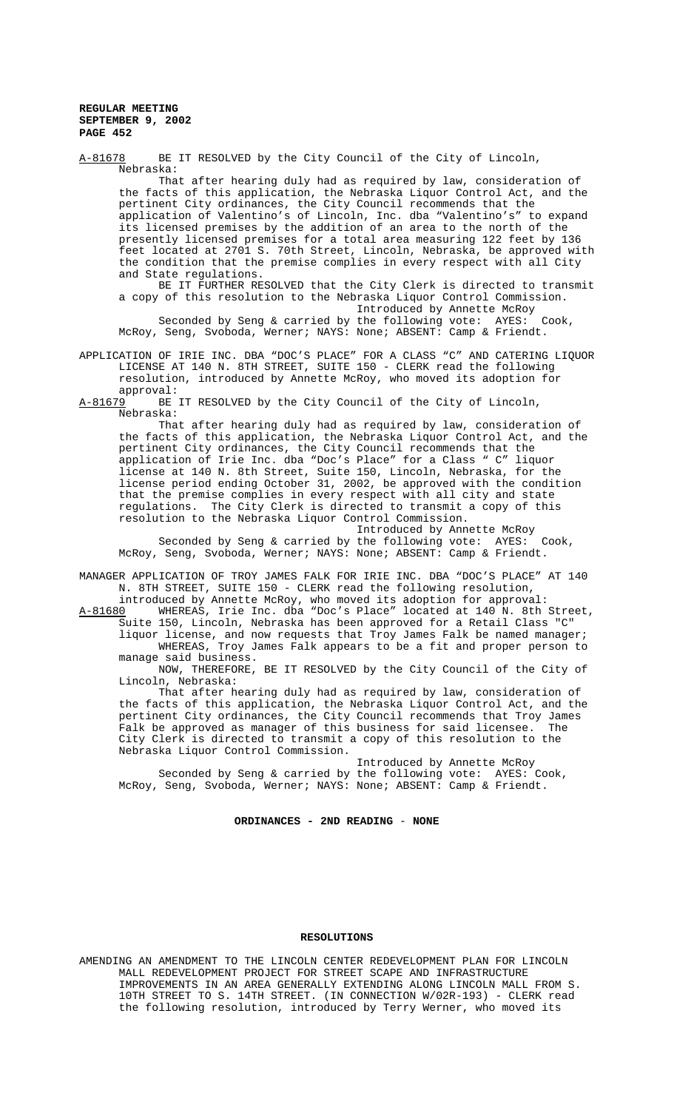Nebraska: That after hearing duly had as required by law, consideration of the facts of this application, the Nebraska Liquor Control Act, and the pertinent City ordinances, the City Council recommends that the application of Valentino's of Lincoln, Inc. dba "Valentino's" to expand its licensed premises by the addition of an area to the north of the presently licensed premises for a total area measuring 122 feet by 136 feet located at 2701 S. 70th Street, Lincoln, Nebraska, be approved with the condition that the premise complies in every respect with all City and State regulations. BE IT FURTHER RESOLVED that the City Clerk is directed to transmit a copy of this resolution to the Nebraska Liquor Control Commission. Introduced by Annette McRoy Seconded by Seng & carried by the following vote: AYES: Cook, McRoy, Seng, Svoboda, Werner; NAYS: None; ABSENT: Camp & Friendt. APPLICATION OF IRIE INC. DBA "DOC'S PLACE" FOR A CLASS "C" AND CATERING LIQUOR LICENSE AT 140 N. 8TH STREET, SUITE 150 - CLERK read the following resolution, introduced by Annette McRoy, who moved its adoption for approval:<br>A-81679 BE BE IT RESOLVED by the City Council of the City of Lincoln, Nebraska: That after hearing duly had as required by law, consideration of the facts of this application, the Nebraska Liquor Control Act, and the pertinent City ordinances, the City Council recommends that the application of Irie Inc. dba "Doc's Place" for a Class " C" liquor license at 140 N. 8th Street, Suite 150, Lincoln, Nebraska, for the license period ending October 31, 2002, be approved with the condition that the premise complies in every respect with all city and state regulations. The City Clerk is directed to transmit a copy of this resolution to the Nebraska Liquor Control Commission. ontrol Commussion.<br>Introduced by Annette McRoy<br>Introduced by Annette AYES: Cook, Seconded by Seng & carried by the following vote: AYES: Cook, McRoy, Seng, Svoboda, Werner; NAYS: None; ABSENT: Camp & Friendt. MANAGER APPLICATION OF TROY JAMES FALK FOR IRIE INC. DBA "DOC'S PLACE" AT 140

A-81678 BE IT RESOLVED by the City Council of the City of Lincoln,

N. 8TH STREET, SUITE 150 - CLERK read the following resolution, introduced by Annette McRoy, who moved its adoption for approval:

A-81680 WHEREAS, Irie Inc. dba "Doc's Place" located at 140 N. 8th Street, Suite 150, Lincoln, Nebraska has been approved for a Retail Class "C" liquor license, and now requests that Troy James Falk be named manager; WHEREAS, Troy James Falk appears to be a fit and proper person to manage said business.

NOW, THEREFORE, BE IT RESOLVED by the City Council of the City of Lincoln, Nebraska:

That after hearing duly had as required by law, consideration of the facts of this application, the Nebraska Liquor Control Act, and the pertinent City ordinances, the City Council recommends that Troy James<br>Falk he approved as manager of this business for said licensee. The Falk be approved as manager of this business for said licensee. City Clerk is directed to transmit a copy of this resolution to the Nebraska Liquor Control Commission.

Introduced by Annette McRoy Seconded by Seng & carried by the following vote: AYES: Cook, McRoy, Seng, Svoboda, Werner; NAYS: None; ABSENT: Camp & Friendt.

## **ORDINANCES - 2ND READING** - **NONE**

#### **RESOLUTIONS**

AMENDING AN AMENDMENT TO THE LINCOLN CENTER REDEVELOPMENT PLAN FOR LINCOLN MALL REDEVELOPMENT PROJECT FOR STREET SCAPE AND INFRASTRUCTURE IMPROVEMENTS IN AN AREA GENERALLY EXTENDING ALONG LINCOLN MALL FROM S. 10TH STREET TO S. 14TH STREET. (IN CONNECTION W/02R-193) - CLERK read the following resolution, introduced by Terry Werner, who moved its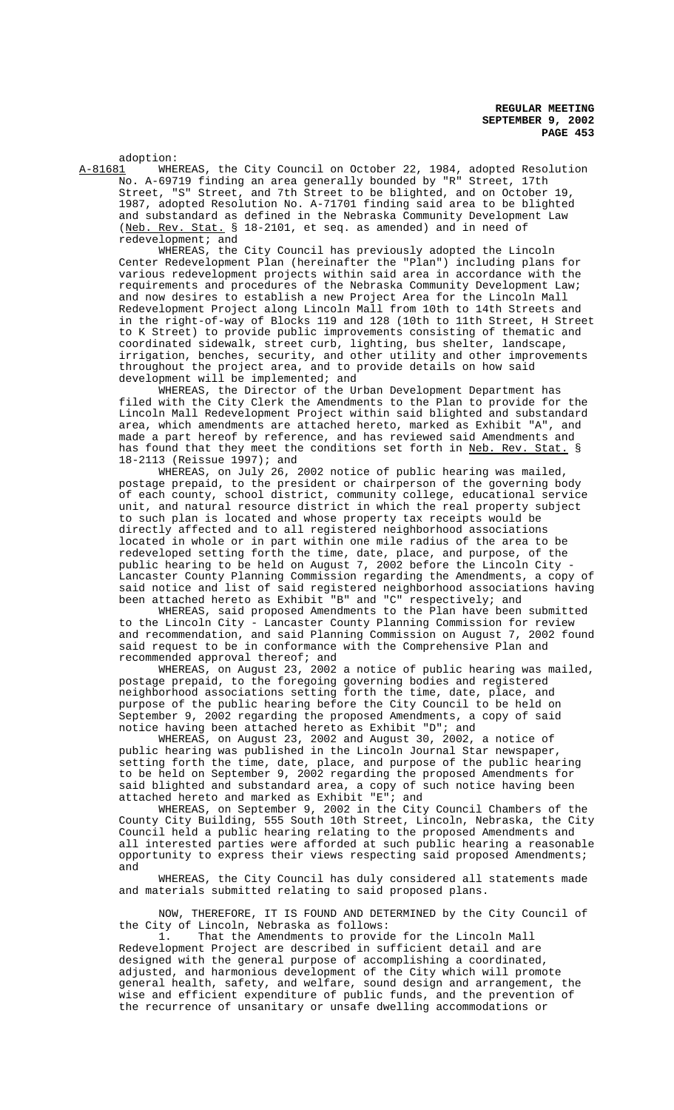adoption:<br>A-81681 WHE WHEREAS, the City Council on October 22, 1984, adopted Resolution No. A-69719 finding an area generally bounded by "R" Street, 17th Street, "S" Street, and 7th Street to be blighted, and on October 19, 1987, adopted Resolution No. A-71701 finding said area to be blighted and substandard as defined in the Nebraska Community Development Law (Neb. Rev. Stat. § 18-2101, et seq. as amended) and in need of redevelopment; and

WHEREAS, the City Council has previously adopted the Lincoln Center Redevelopment Plan (hereinafter the "Plan") including plans for various redevelopment projects within said area in accordance with the requirements and procedures of the Nebraska Community Development Law; and now desires to establish a new Project Area for the Lincoln Mall Redevelopment Project along Lincoln Mall from 10th to 14th Streets and in the right-of-way of Blocks 119 and 128 (10th to 11th Street, H Street to K Street) to provide public improvements consisting of thematic and coordinated sidewalk, street curb, lighting, bus shelter, landscape, irrigation, benches, security, and other utility and other improvements throughout the project area, and to provide details on how said development will be implemented; and

WHEREAS, the Director of the Urban Development Department has filed with the City Clerk the Amendments to the Plan to provide for the Lincoln Mall Redevelopment Project within said blighted and substandard area, which amendments are attached hereto, marked as Exhibit "A", and made a part hereof by reference, and has reviewed said Amendments and has found that they meet the conditions set forth in Neb. Rev. Stat. § 18-2113 (Reissue 1997); and

WHEREAS, on July 26, 2002 notice of public hearing was mailed, postage prepaid, to the president or chairperson of the governing body of each county, school district, community college, educational service unit, and natural resource district in which the real property subject to such plan is located and whose property tax receipts would be directly affected and to all registered neighborhood associations located in whole or in part within one mile radius of the area to be redeveloped setting forth the time, date, place, and purpose, of the public hearing to be held on August 7, 2002 before the Lincoln City - Lancaster County Planning Commission regarding the Amendments, a copy of said notice and list of said registered neighborhood associations having been attached hereto as Exhibit "B" and "C" respectively; and

WHEREAS, said proposed Amendments to the Plan have been submitted to the Lincoln City - Lancaster County Planning Commission for review and recommendation, and said Planning Commission on August 7, 2002 found said request to be in conformance with the Comprehensive Plan and recommended approval thereof; and

WHEREAS, on August 23, 2002 a notice of public hearing was mailed, postage prepaid, to the foregoing governing bodies and registered neighborhood associations setting forth the time, date, place, and purpose of the public hearing before the City Council to be held on September 9, 2002 regarding the proposed Amendments, a copy of said notice having been attached hereto as Exhibit "D"; and

WHEREAS, on August 23, 2002 and August 30, 2002, a notice of public hearing was published in the Lincoln Journal Star newspaper, setting forth the time, date, place, and purpose of the public hearing to be held on September 9, 2002 regarding the proposed Amendments for said blighted and substandard area, a copy of such notice having been attached hereto and marked as Exhibit "E"; and

WHEREAS, on September 9, 2002 in the City Council Chambers of the County City Building, 555 South 10th Street, Lincoln, Nebraska, the City Council held a public hearing relating to the proposed Amendments and all interested parties were afforded at such public hearing a reasonable opportunity to express their views respecting said proposed Amendments; and

WHEREAS, the City Council has duly considered all statements made and materials submitted relating to said proposed plans.

NOW, THEREFORE, IT IS FOUND AND DETERMINED by the City Council of the City of Lincoln, Nebraska as follows:

1. That the Amendments to provide for the Lincoln Mall Redevelopment Project are described in sufficient detail and are designed with the general purpose of accomplishing a coordinated, adjusted, and harmonious development of the City which will promote general health, safety, and welfare, sound design and arrangement, the wise and efficient expenditure of public funds, and the prevention of the recurrence of unsanitary or unsafe dwelling accommodations or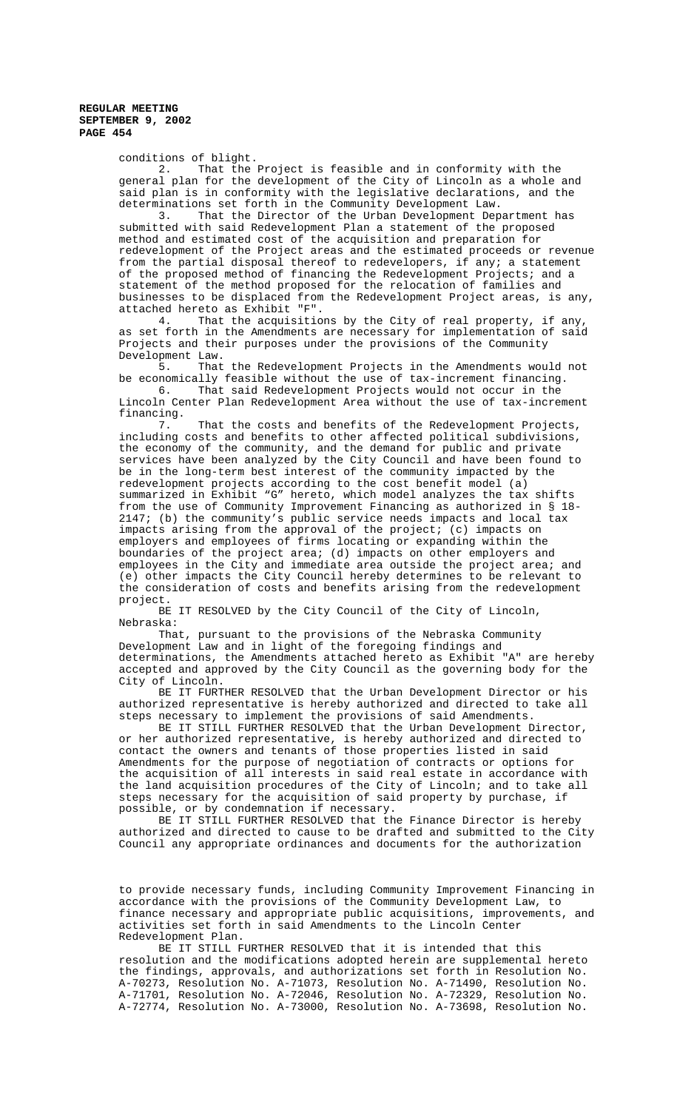conditions of blight.

2. That the Project is feasible and in conformity with the general plan for the development of the City of Lincoln as a whole and said plan is in conformity with the legislative declarations, and the determinations set forth in the Community Development Law.

3. That the Director of the Urban Development Department has submitted with said Redevelopment Plan a statement of the proposed method and estimated cost of the acquisition and preparation for redevelopment of the Project areas and the estimated proceeds or revenue from the partial disposal thereof to redevelopers, if any; a statement of the proposed method of financing the Redevelopment Projects; and a statement of the method proposed for the relocation of families and businesses to be displaced from the Redevelopment Project areas, is any, attached hereto as Exhibit "F".

4. That the acquisitions by the City of real property, if any, as set forth in the Amendments are necessary for implementation of said Projects and their purposes under the provisions of the Community Development Law.

5. That the Redevelopment Projects in the Amendments would not be economically feasible without the use of tax-increment financing.<br>6. That said Redevelopment Projects would not occur in the

That said Redevelopment Projects would not occur in the Lincoln Center Plan Redevelopment Area without the use of tax-increment financing.<br>7.

That the costs and benefits of the Redevelopment Projects, including costs and benefits to other affected political subdivisions, the economy of the community, and the demand for public and private services have been analyzed by the City Council and have been found to be in the long-term best interest of the community impacted by the redevelopment projects according to the cost benefit model (a) summarized in Exhibit "G" hereto, which model analyzes the tax shifts from the use of Community Improvement Financing as authorized in § 18- 2147; (b) the community's public service needs impacts and local tax impacts arising from the approval of the project; (c) impacts on employers and employees of firms locating or expanding within the boundaries of the project area; (d) impacts on other employers and employees in the City and immediate area outside the project area; and (e) other impacts the City Council hereby determines to be relevant to the consideration of costs and benefits arising from the redevelopment project.

BE IT RESOLVED by the City Council of the City of Lincoln, Nebraska:

That, pursuant to the provisions of the Nebraska Community Development Law and in light of the foregoing findings and determinations, the Amendments attached hereto as Exhibit "A" are hereby accepted and approved by the City Council as the governing body for the City of Lincoln.

BE IT FURTHER RESOLVED that the Urban Development Director or his authorized representative is hereby authorized and directed to take all steps necessary to implement the provisions of said Amendments.

BE IT STILL FURTHER RESOLVED that the Urban Development Director, or her authorized representative, is hereby authorized and directed to contact the owners and tenants of those properties listed in said Amendments for the purpose of negotiation of contracts or options for the acquisition of all interests in said real estate in accordance with the land acquisition procedures of the City of Lincoln; and to take all steps necessary for the acquisition of said property by purchase, if possible, or by condemnation if necessary.

BE IT STILL FURTHER RESOLVED that the Finance Director is hereby authorized and directed to cause to be drafted and submitted to the City Council any appropriate ordinances and documents for the authorization

to provide necessary funds, including Community Improvement Financing in accordance with the provisions of the Community Development Law, to finance necessary and appropriate public acquisitions, improvements, and activities set forth in said Amendments to the Lincoln Center Redevelopment Plan.

BE IT STILL FURTHER RESOLVED that it is intended that this resolution and the modifications adopted herein are supplemental hereto the findings, approvals, and authorizations set forth in Resolution No. A-70273, Resolution No. A-71073, Resolution No. A-71490, Resolution No. A-71701, Resolution No. A-72046, Resolution No. A-72329, Resolution No. A-72774, Resolution No. A-73000, Resolution No. A-73698, Resolution No.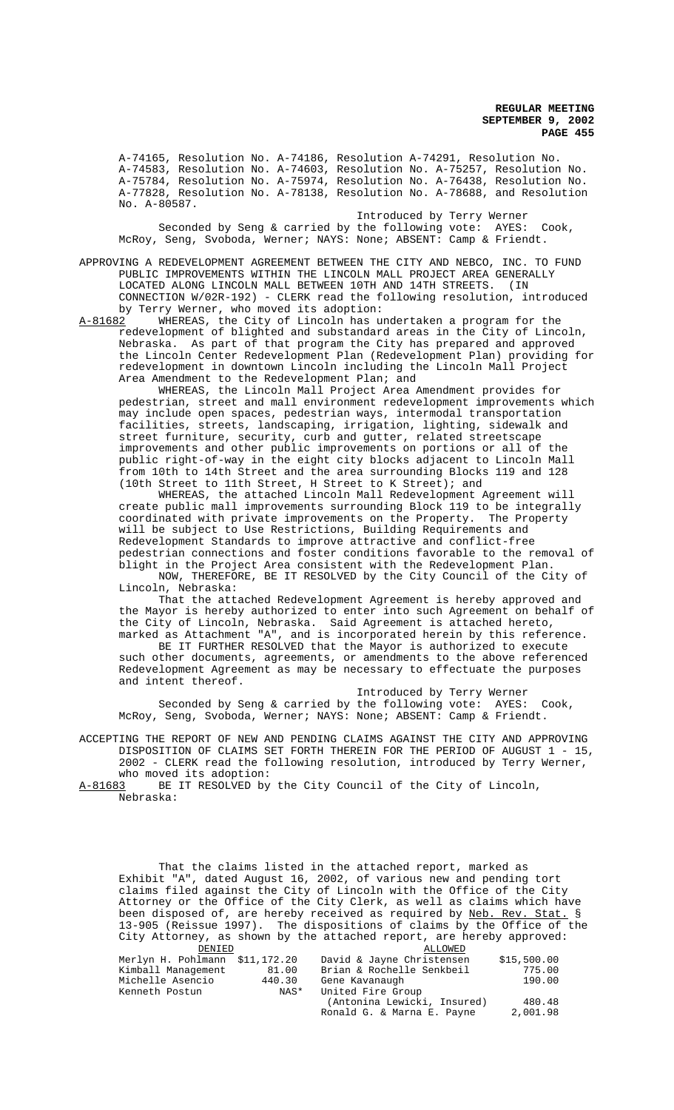A-74165, Resolution No. A-74186, Resolution A-74291, Resolution No. A-74583, Resolution No. A-74603, Resolution No. A-75257, Resolution No. A-75784, Resolution No. A-75974, Resolution No. A-76438, Resolution No. A-77828, Resolution No. A-78138, Resolution No. A-78688, and Resolution No. A-80587.

Introduced by Terry Werner Seconded by Seng & carried by the following vote: AYES: Cook, McRoy, Seng, Svoboda, Werner; NAYS: None; ABSENT: Camp & Friendt.

APPROVING A REDEVELOPMENT AGREEMENT BETWEEN THE CITY AND NEBCO, INC. TO FUND PUBLIC IMPROVEMENTS WITHIN THE LINCOLN MALL PROJECT AREA GENERALLY LOCATED ALONG LINCOLN MALL BETWEEN 10TH AND 14TH STREETS. (IN CONNECTION W/02R-192) - CLERK read the following resolution, introduced by Terry Werner, who moved its adoption:<br>A-81682 WHEREAS, the City of Lincoln has u

WHEREAS, the City of Lincoln has undertaken a program for the redevelopment of blighted and substandard areas in the City of Lincoln, Nebraska. As part of that program the City has prepared and approved the Lincoln Center Redevelopment Plan (Redevelopment Plan) providing for redevelopment in downtown Lincoln including the Lincoln Mall Project Area Amendment to the Redevelopment Plan; and

WHEREAS, the Lincoln Mall Project Area Amendment provides for pedestrian, street and mall environment redevelopment improvements which may include open spaces, pedestrian ways, intermodal transportation facilities, streets, landscaping, irrigation, lighting, sidewalk and street furniture, security, curb and gutter, related streetscape improvements and other public improvements on portions or all of the public right-of-way in the eight city blocks adjacent to Lincoln Mall from 10th to 14th Street and the area surrounding Blocks 119 and 128 (10th Street to 11th Street, H Street to K Street); and

WHEREAS, the attached Lincoln Mall Redevelopment Agreement will create public mall improvements surrounding Block 119 to be integrally coordinated with private improvements on the Property. The Property will be subject to Use Restrictions, Building Requirements and Redevelopment Standards to improve attractive and conflict-free pedestrian connections and foster conditions favorable to the removal of blight in the Project Area consistent with the Redevelopment Plan. NOW, THEREFORE, BE IT RESOLVED by the City Council of the City of

Lincoln, Nebraska:

That the attached Redevelopment Agreement is hereby approved and the Mayor is hereby authorized to enter into such Agreement on behalf of the City of Lincoln, Nebraska. Said Agreement is attached hereto, marked as Attachment "A", and is incorporated herein by this reference.

BE IT FURTHER RESOLVED that the Mayor is authorized to execute such other documents, agreements, or amendments to the above referenced Redevelopment Agreement as may be necessary to effectuate the purposes and intent thereof.

Introduced by Terry Werner Seconded by Seng & carried by the following vote: AYES: Cook, McRoy, Seng, Svoboda, Werner; NAYS: None; ABSENT: Camp & Friendt.

ACCEPTING THE REPORT OF NEW AND PENDING CLAIMS AGAINST THE CITY AND APPROVING DISPOSITION OF CLAIMS SET FORTH THEREIN FOR THE PERIOD OF AUGUST 1 - 15, 2002 - CLERK read the following resolution, introduced by Terry Werner, who moved its adoption:

A-81683 BE IT RESOLVED by the City Council of the City of Lincoln, Nebraska:

That the claims listed in the attached report, marked as Exhibit "A", dated August 16, 2002, of various new and pending tort claims filed against the City of Lincoln with the Office of the City Attorney or the Office of the City Clerk, as well as claims which have been disposed of, are hereby received as required by Neb. Rev. Stat. § 13-905 (Reissue 1997). The dispositions of claims by the Office of the City Attorney, as shown by the attached report, are hereby approved:

| DENIED                         |        | ALLOWED                     |             |
|--------------------------------|--------|-----------------------------|-------------|
| Merlyn H. Pohlmann \$11,172.20 |        | David & Jayne Christensen   | \$15,500.00 |
| Kimball Management             | 81.00  | Brian & Rochelle Senkbeil   | 775.00      |
| Michelle Asencio               | 440.30 | Gene Kavanaugh              | 190.00      |
| Kenneth Postun                 | NAS*   | United Fire Group           |             |
|                                |        | (Antonina Lewicki, Insured) | 480.48      |
|                                |        | Ronald G. & Marna E. Payne  | 2,001.98    |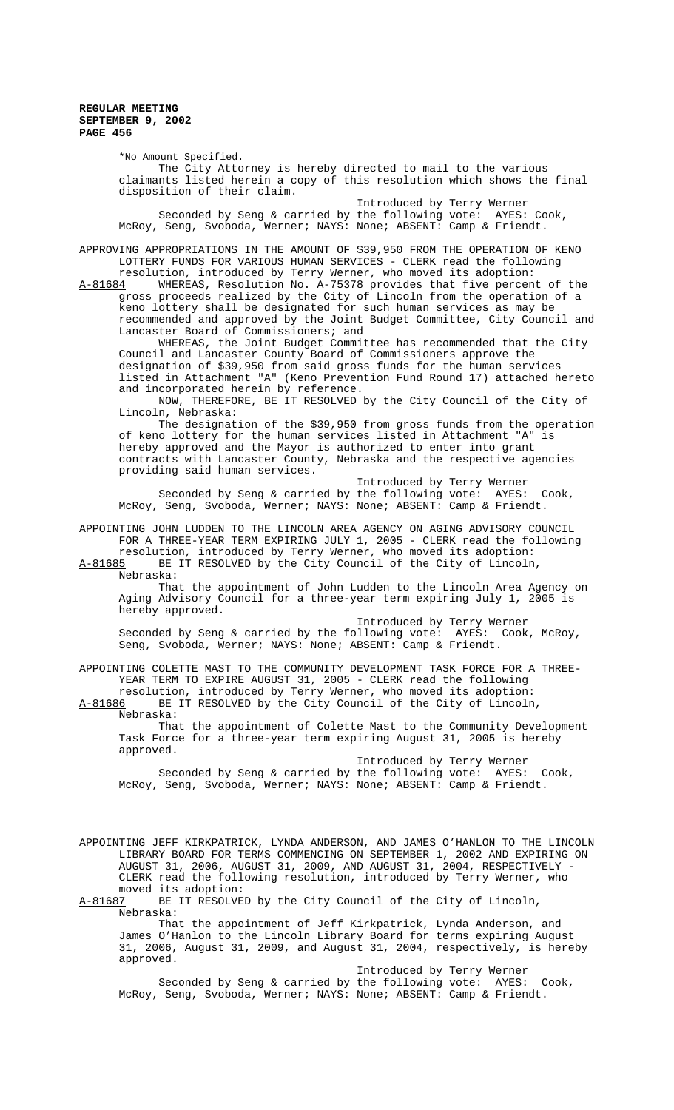> \*No Amount Specified. The City Attorney is hereby directed to mail to the various claimants listed herein a copy of this resolution which shows the final disposition of their claim.

 Introduced by Terry Werner Seconded by Seng & carried by the following vote: AYES: Cook, McRoy, Seng, Svoboda, Werner; NAYS: None; ABSENT: Camp & Friendt.

APPROVING APPROPRIATIONS IN THE AMOUNT OF \$39,950 FROM THE OPERATION OF KENO LOTTERY FUNDS FOR VARIOUS HUMAN SERVICES - CLERK read the following

resolution, introduced by Terry Werner, who moved its adoption:<br>A-81684 WHEREAS, Resolution No. A-75378 provides that five percen WHEREAS, Resolution No. A-75378 provides that five percent of the gross proceeds realized by the City of Lincoln from the operation of a keno lottery shall be designated for such human services as may be recommended and approved by the Joint Budget Committee, City Council and Lancaster Board of Commissioners; and

WHEREAS, the Joint Budget Committee has recommended that the City Council and Lancaster County Board of Commissioners approve the designation of \$39,950 from said gross funds for the human services listed in Attachment "A" (Keno Prevention Fund Round 17) attached hereto and incorporated herein by reference.

NOW, THEREFORE, BE IT RESOLVED by the City Council of the City of Lincoln, Nebraska:

The designation of the \$39,950 from gross funds from the operation of keno lottery for the human services listed in Attachment "A" is hereby approved and the Mayor is authorized to enter into grant contracts with Lancaster County, Nebraska and the respective agencies providing said human services.

Introduced by Terry Werner Seconded by Seng & carried by the following vote: AYES: Cook, McRoy, Seng, Svoboda, Werner; NAYS: None; ABSENT: Camp & Friendt.

APPOINTING JOHN LUDDEN TO THE LINCOLN AREA AGENCY ON AGING ADVISORY COUNCIL FOR A THREE-YEAR TERM EXPIRING JULY 1, 2005 - CLERK read the following resolution, introduced by Terry Werner, who moved its adoption:

A-81685 BE IT RESOLVED by the City Council of the City of Lincoln,

Nebraska:

That the appointment of John Ludden to the Lincoln Area Agency on Aging Advisory Council for a three-year term expiring July 1, 2005 is hereby approved.

Introduced by Terry Werner Seconded by Seng & carried by the following vote: AYES: Cook, McRoy, Seng, Svoboda, Werner; NAYS: None; ABSENT: Camp & Friendt.

APPOINTING COLETTE MAST TO THE COMMUNITY DEVELOPMENT TASK FORCE FOR A THREE-YEAR TERM TO EXPIRE AUGUST 31, 2005 - CLERK read the following

resolution, introduced by Terry Werner, who moved its adoption:<br>A-81686 BE IT RESOLVED by the City Council of the City of Lincoln BE IT RESOLVED by the City Council of the City of Lincoln, Nebraska:

That the appointment of Colette Mast to the Community Development Task Force for a three-year term expiring August 31, 2005 is hereby approved.

Introduced by Terry Werner Seconded by Seng & carried by the following vote: AYES: Cook, McRoy, Seng, Svoboda, Werner; NAYS: None; ABSENT: Camp & Friendt.

APPOINTING JEFF KIRKPATRICK, LYNDA ANDERSON, AND JAMES O'HANLON TO THE LINCOLN LIBRARY BOARD FOR TERMS COMMENCING ON SEPTEMBER 1, 2002 AND EXPIRING ON AUGUST 31, 2006, AUGUST 31, 2009, AND AUGUST 31, 2004, RESPECTIVELY CLERK read the following resolution, introduced by Terry Werner, who moved its adoption:<br>A-81687 BE IT RESOLVE

BE IT RESOLVED by the City Council of the City of Lincoln, Nebraska:

That the appointment of Jeff Kirkpatrick, Lynda Anderson, and James O'Hanlon to the Lincoln Library Board for terms expiring August 31, 2006, August 31, 2009, and August 31, 2004, respectively, is hereby approved.

Introduced by Terry Werner Seconded by Seng & carried by the following vote: AYES: Cook, McRoy, Seng, Svoboda, Werner; NAYS: None; ABSENT: Camp & Friendt.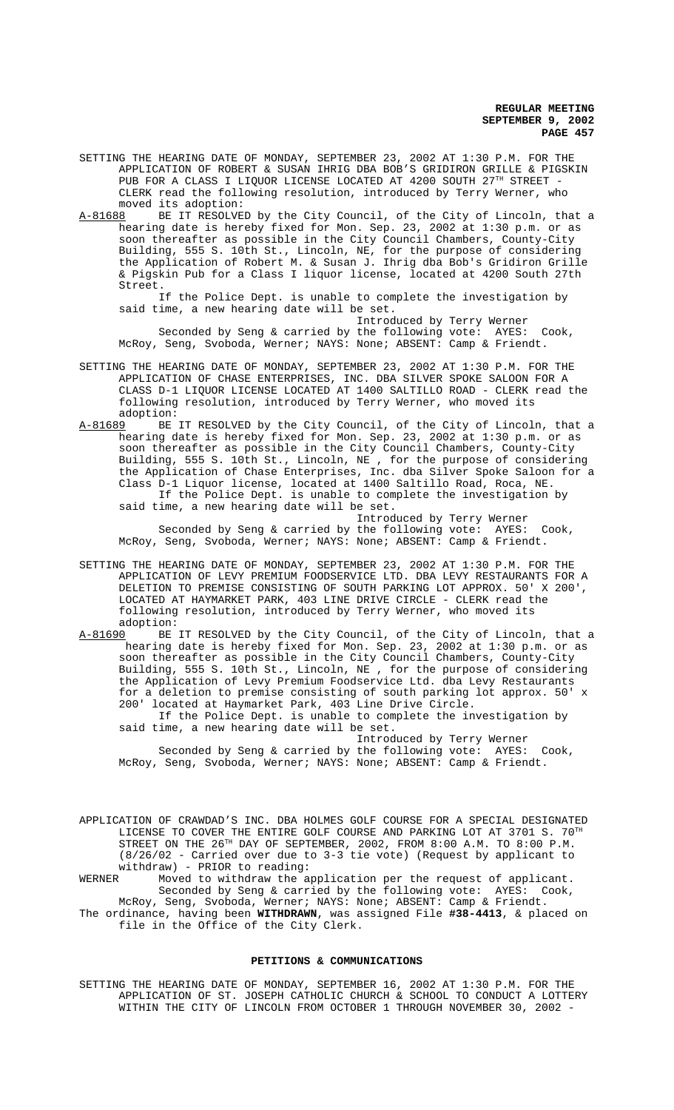- SETTING THE HEARING DATE OF MONDAY, SEPTEMBER 23, 2002 AT 1:30 P.M. FOR THE APPLICATION OF ROBERT & SUSAN IHRIG DBA BOB'S GRIDIRON GRILLE & PIGSKIN PUB FOR A CLASS I LIQUOR LICENSE LOCATED AT 4200 SOUTH 27TH STREET -CLERK read the following resolution, introduced by Terry Werner, who moved its adoption:
- A-81688 BE IT RESOLVED by the City Council, of the City of Lincoln, that a hearing date is hereby fixed for Mon. Sep. 23, 2002 at 1:30 p.m. or as soon thereafter as possible in the City Council Chambers, County-City Building, 555 S. 10th St., Lincoln, NE, for the purpose of considering the Application of Robert M. & Susan J. Ihrig dba Bob's Gridiron Grille & Pigskin Pub for a Class I liquor license, located at 4200 South 27th Street.

If the Police Dept. is unable to complete the investigation by said time, a new hearing date will be set.

Introduced by Terry Werner Seconded by Seng & carried by the following vote: AYES: Cook, McRoy, Seng, Svoboda, Werner; NAYS: None; ABSENT: Camp & Friendt.

- SETTING THE HEARING DATE OF MONDAY, SEPTEMBER 23, 2002 AT 1:30 P.M. FOR THE APPLICATION OF CHASE ENTERPRISES, INC. DBA SILVER SPOKE SALOON FOR A CLASS D-1 LIQUOR LICENSE LOCATED AT 1400 SALTILLO ROAD - CLERK read the following resolution, introduced by Terry Werner, who moved its
- adoption:<br>A-81689 BE BE IT RESOLVED by the City Council, of the City of Lincoln, that a hearing date is hereby fixed for Mon. Sep. 23, 2002 at 1:30 p.m. or as soon thereafter as possible in the City Council Chambers, County-City Building, 555 S. 10th St., Lincoln, NE , for the purpose of considering the Application of Chase Enterprises, Inc. dba Silver Spoke Saloon for a Class D-1 Liquor license, located at 1400 Saltillo Road, Roca, NE. If the Police Dept. is unable to complete the investigation by said time, a new hearing date will be set.

Introduced by Terry Werner Seconded by Seng & carried by the following vote: AYES: Cook, McRoy, Seng, Svoboda, Werner; NAYS: None; ABSENT: Camp & Friendt.

- SETTING THE HEARING DATE OF MONDAY, SEPTEMBER 23, 2002 AT 1:30 P.M. FOR THE APPLICATION OF LEVY PREMIUM FOODSERVICE LTD. DBA LEVY RESTAURANTS FOR A DELETION TO PREMISE CONSISTING OF SOUTH PARKING LOT APPROX. 50' X 200', LOCATED AT HAYMARKET PARK, 403 LINE DRIVE CIRCLE - CLERK read the following resolution, introduced by Terry Werner, who moved its adoption:
- A-81690 BE IT RESOLVED by the City Council, of the City of Lincoln, that a hearing date is hereby fixed for Mon. Sep. 23, 2002 at 1:30 p.m. or as soon thereafter as possible in the City Council Chambers, County-City Building, 555 S. 10th St., Lincoln, NE , for the purpose of considering the Application of Levy Premium Foodservice Ltd. dba Levy Restaurants for a deletion to premise consisting of south parking lot approx. 50' x 200' located at Haymarket Park, 403 Line Drive Circle. If the Police Dept. is unable to complete the investigation by

said time, a new hearing date will be set.

Introduced by Terry Werner Seconded by Seng & carried by the following vote: AYES: Cook, McRoy, Seng, Svoboda, Werner; NAYS: None; ABSENT: Camp & Friendt.

APPLICATION OF CRAWDAD'S INC. DBA HOLMES GOLF COURSE FOR A SPECIAL DESIGNATED LICENSE TO COVER THE ENTIRE GOLF COURSE AND PARKING LOT AT 3701 S.  $70^{\text{TH}}$ STREET ON THE 26<sup>TH</sup> DAY OF SEPTEMBER, 2002, FROM 8:00 A.M. TO 8:00 P.M. (8/26/02 - Carried over due to 3-3 tie vote) (Request by applicant to withdraw) - PRIOR to reading:<br>WERNER Moved to withdraw the a

Moved to withdraw the application per the request of applicant. Seconded by Seng & carried by the following vote: AYES: Cook, McRoy, Seng, Svoboda, Werner; NAYS: None; ABSENT: Camp & Friendt.

The ordinance, having been **WITHDRAWN**, was assigned File **#38-4413**, & placed on file in the Office of the City Clerk.

#### **PETITIONS & COMMUNICATIONS**

SETTING THE HEARING DATE OF MONDAY, SEPTEMBER 16, 2002 AT 1:30 P.M. FOR THE APPLICATION OF ST. JOSEPH CATHOLIC CHURCH & SCHOOL TO CONDUCT A LOTTERY WITHIN THE CITY OF LINCOLN FROM OCTOBER 1 THROUGH NOVEMBER 30, 2002 -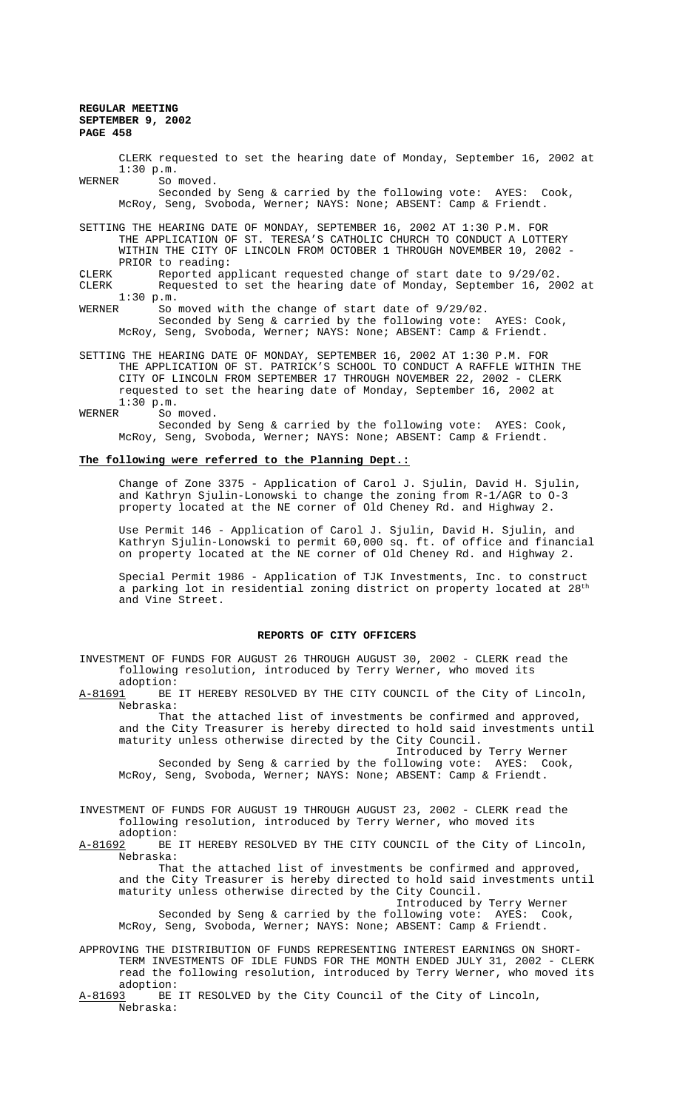CLERK requested to set the hearing date of Monday, September 16, 2002 at  $1:30 \text{ p.m.}$ <br>WERNER So So moved.

Seconded by Seng & carried by the following vote: AYES: Cook, McRoy, Seng, Svoboda, Werner; NAYS: None; ABSENT: Camp & Friendt.

SETTING THE HEARING DATE OF MONDAY, SEPTEMBER 16, 2002 AT 1:30 P.M. FOR THE APPLICATION OF ST. TERESA'S CATHOLIC CHURCH TO CONDUCT A LOTTERY WITHIN THE CITY OF LINCOLN FROM OCTOBER 1 THROUGH NOVEMBER 10, 2002 - PRIOR to reading:

CLERK . Reported applicant requested change of start date to 9/29/02.<br>CLERK . Requested to set the hearing date of Monday, September 16, 20 Requested to set the hearing date of Monday, September 16, 2002 at 1:30 p.m.

WERNER So moved with the change of start date of 9/29/02. Seconded by Seng & carried by the following vote: AYES: Cook,

McRoy, Seng, Svoboda, Werner; NAYS: None; ABSENT: Camp & Friendt.

SETTING THE HEARING DATE OF MONDAY, SEPTEMBER 16, 2002 AT 1:30 P.M. FOR THE APPLICATION OF ST. PATRICK'S SCHOOL TO CONDUCT A RAFFLE WITHIN THE CITY OF LINCOLN FROM SEPTEMBER 17 THROUGH NOVEMBER 22, 2002 - CLERK requested to set the hearing date of Monday, September 16, 2002 at  $1:30 \text{ p.m.}$ <br>WERNER So

So moved.

Seconded by Seng & carried by the following vote: AYES: Cook, McRoy, Seng, Svoboda, Werner; NAYS: None; ABSENT: Camp & Friendt.

#### **The following were referred to the Planning Dept.:**

Change of Zone 3375 - Application of Carol J. Sjulin, David H. Sjulin, and Kathryn Sjulin-Lonowski to change the zoning from R-1/AGR to O-3 property located at the NE corner of Old Cheney Rd. and Highway 2.

Use Permit 146 - Application of Carol J. Sjulin, David H. Sjulin, and Kathryn Sjulin-Lonowski to permit 60,000 sq. ft. of office and financial on property located at the NE corner of Old Cheney Rd. and Highway 2.

Special Permit 1986 - Application of TJK Investments, Inc. to construct a parking lot in residential zoning district on property located at 28<sup>th</sup> and Vine Street.

### **REPORTS OF CITY OFFICERS**

INVESTMENT OF FUNDS FOR AUGUST 26 THROUGH AUGUST 30, 2002 - CLERK read the following resolution, introduced by Terry Werner, who moved its

adoption:<br>A-81691 BE BE IT HEREBY RESOLVED BY THE CITY COUNCIL of the City of Lincoln, Nebraska:

That the attached list of investments be confirmed and approved, and the City Treasurer is hereby directed to hold said investments until maturity unless otherwise directed by the City Council.

Introduced by Terry Werner Seconded by Seng & carried by the following vote: AYES: Cook, McRoy, Seng, Svoboda, Werner; NAYS: None; ABSENT: Camp & Friendt.

INVESTMENT OF FUNDS FOR AUGUST 19 THROUGH AUGUST 23, 2002 - CLERK read the following resolution, introduced by Terry Werner, who moved its

adoption:<br>A-81692 BE BE IT HEREBY RESOLVED BY THE CITY COUNCIL of the City of Lincoln, Nebraska:

That the attached list of investments be confirmed and approved, and the City Treasurer is hereby directed to hold said investments until maturity unless otherwise directed by the City Council. Introduced by Terry Werner

Seconded by Seng & carried by the following vote: AYES: Cook, McRoy, Seng, Svoboda, Werner; NAYS: None; ABSENT: Camp & Friendt.

APPROVING THE DISTRIBUTION OF FUNDS REPRESENTING INTEREST EARNINGS ON SHORT-TERM INVESTMENTS OF IDLE FUNDS FOR THE MONTH ENDED JULY 31, 2002 - CLERK read the following resolution, introduced by Terry Werner, who moved its adoption:<br><u>A-81693</u> BE

BE IT RESOLVED by the City Council of the City of Lincoln, Nebraska: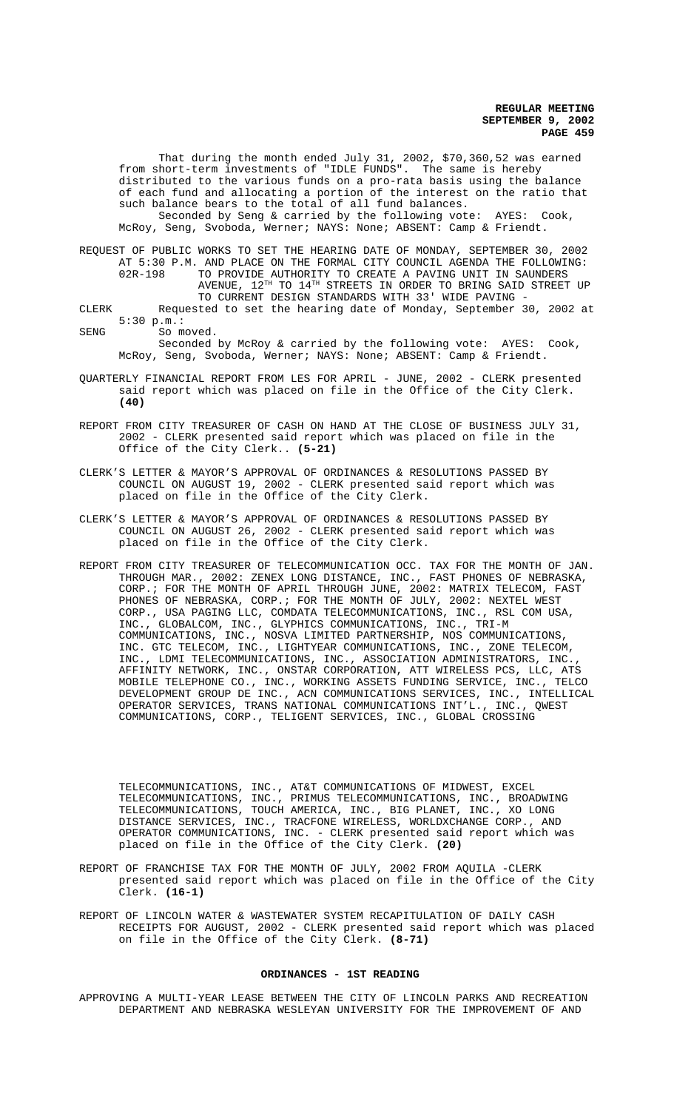That during the month ended July 31, 2002, \$70,360,52 was earned from short-term investments of "IDLE FUNDS". The same is hereby distributed to the various funds on a pro-rata basis using the balance of each fund and allocating a portion of the interest on the ratio that such balance bears to the total of all fund balances.

Seconded by Seng & carried by the following vote: AYES: Cook, McRoy, Seng, Svoboda, Werner; NAYS: None; ABSENT: Camp & Friendt.

REQUEST OF PUBLIC WORKS TO SET THE HEARING DATE OF MONDAY, SEPTEMBER 30, 2002 AT 5:30 P.M. AND PLACE ON THE FORMAL CITY COUNCIL AGENDA THE FOLLOWING:<br>02R-198 TO PROVIDE AUTHORITY TO CREATE A PAVING UNIT IN SAUNDERS TO PROVIDE AUTHORITY TO CREATE A PAVING UNIT IN SAUNDERS AVENUE, 12<sup>TH</sup> TO 14<sup>TH</sup> STREETS IN ORDER TO BRING SAID STREET UP TO CURRENT DESIGN STANDARDS WITH 33' WIDE PAVING -

CLERK Requested to set the hearing date of Monday, September 30, 2002 at 5:30 p.m.:

SENG So moved.

Seconded by McRoy & carried by the following vote: AYES: Cook, McRoy, Seng, Svoboda, Werner; NAYS: None; ABSENT: Camp & Friendt.

- QUARTERLY FINANCIAL REPORT FROM LES FOR APRIL JUNE, 2002 CLERK presented said report which was placed on file in the Office of the City Clerk. **(40)**
- REPORT FROM CITY TREASURER OF CASH ON HAND AT THE CLOSE OF BUSINESS JULY 31, 2002 - CLERK presented said report which was placed on file in the Office of the City Clerk.. **(5-21)**
- CLERK'S LETTER & MAYOR'S APPROVAL OF ORDINANCES & RESOLUTIONS PASSED BY COUNCIL ON AUGUST 19, 2002 - CLERK presented said report which was placed on file in the Office of the City Clerk.
- CLERK'S LETTER & MAYOR'S APPROVAL OF ORDINANCES & RESOLUTIONS PASSED BY COUNCIL ON AUGUST 26, 2002 - CLERK presented said report which was placed on file in the Office of the City Clerk.
- REPORT FROM CITY TREASURER OF TELECOMMUNICATION OCC. TAX FOR THE MONTH OF JAN. THROUGH MAR., 2002: ZENEX LONG DISTANCE, INC., FAST PHONES OF NEBRASKA, CORP.; FOR THE MONTH OF APRIL THROUGH JUNE, 2002: MATRIX TELECOM, FAST PHONES OF NEBRASKA, CORP.; FOR THE MONTH OF JULY, 2002: NEXTEL WEST CORP., USA PAGING LLC, COMDATA TELECOMMUNICATIONS, INC., RSL COM USA, INC., GLOBALCOM, INC., GLYPHICS COMMUNICATIONS, INC., TRI-M COMMUNICATIONS, INC., NOSVA LIMITED PARTNERSHIP, NOS COMMUNICATIONS, INC. GTC TELECOM, INC., LIGHTYEAR COMMUNICATIONS, INC., ZONE TELECOM, INC., LDMI TELECOMMUNICATIONS, INC., ASSOCIATION ADMINISTRATORS, INC., AFFINITY NETWORK, INC., ONSTAR CORPORATION, ATT WIRELESS PCS, LLC, ATS MOBILE TELEPHONE CO., INC., WORKING ASSETS FUNDING SERVICE, INC., TELCO DEVELOPMENT GROUP DE INC., ACN COMMUNICATIONS SERVICES, INC., INTELLICAL OPERATOR SERVICES, TRANS NATIONAL COMMUNICATIONS INT'L., INC., QWEST COMMUNICATIONS, CORP., TELIGENT SERVICES, INC., GLOBAL CROSSING

TELECOMMUNICATIONS, INC., AT&T COMMUNICATIONS OF MIDWEST, EXCEL TELECOMMUNICATIONS, INC., PRIMUS TELECOMMUNICATIONS, INC., BROADWING TELECOMMUNICATIONS, TOUCH AMERICA, INC., BIG PLANET, INC., XO LONG DISTANCE SERVICES, INC., TRACFONE WIRELESS, WORLDXCHANGE CORP., AND OPERATOR COMMUNICATIONS, INC. - CLERK presented said report which was placed on file in the Office of the City Clerk. **(20)**

- REPORT OF FRANCHISE TAX FOR THE MONTH OF JULY, 2002 FROM AQUILA -CLERK presented said report which was placed on file in the Office of the City Clerk. **(16-1)**
- REPORT OF LINCOLN WATER & WASTEWATER SYSTEM RECAPITULATION OF DAILY CASH RECEIPTS FOR AUGUST, 2002 - CLERK presented said report which was placed on file in the Office of the City Clerk. **(8-71)**

## **ORDINANCES - 1ST READING**

APPROVING A MULTI-YEAR LEASE BETWEEN THE CITY OF LINCOLN PARKS AND RECREATION DEPARTMENT AND NEBRASKA WESLEYAN UNIVERSITY FOR THE IMPROVEMENT OF AND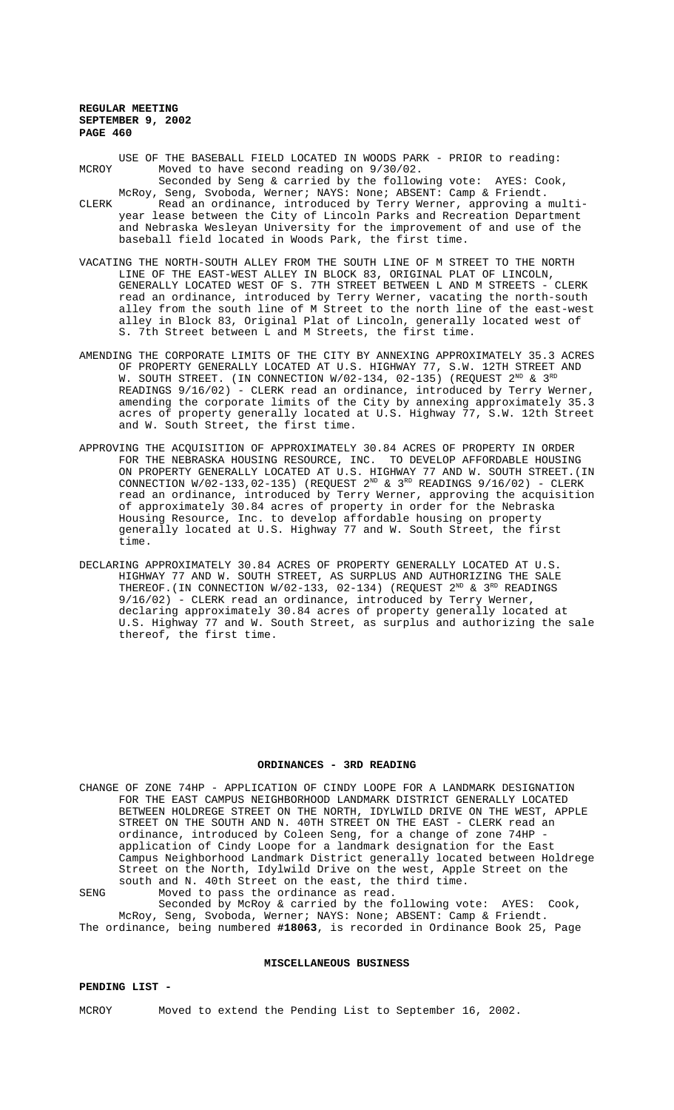- USE OF THE BASEBALL FIELD LOCATED IN WOODS PARK PRIOR to reading: MCROY Moved to have second reading on 9/30/02. Seconded by Seng & carried by the following vote: AYES: Cook,
- McRoy, Seng, Svoboda, Werner; NAYS: None; ABSENT: Camp & Friendt. CLERK Read an ordinance, introduced by Terry Werner, approving a multiyear lease between the City of Lincoln Parks and Recreation Department and Nebraska Wesleyan University for the improvement of and use of the baseball field located in Woods Park, the first time.
- VACATING THE NORTH-SOUTH ALLEY FROM THE SOUTH LINE OF M STREET TO THE NORTH LINE OF THE EAST-WEST ALLEY IN BLOCK 83, ORIGINAL PLAT OF LINCOLN, GENERALLY LOCATED WEST OF S. 7TH STREET BETWEEN L AND M STREETS - CLERK read an ordinance, introduced by Terry Werner, vacating the north-south alley from the south line of M Street to the north line of the east-west alley in Block 83, Original Plat of Lincoln, generally located west of S. 7th Street between L and M Streets, the first time.
- AMENDING THE CORPORATE LIMITS OF THE CITY BY ANNEXING APPROXIMATELY 35.3 ACRES OF PROPERTY GENERALLY LOCATED AT U.S. HIGHWAY 77, S.W. 12TH STREET AND W. SOUTH STREET. (IN CONNECTION  $W/02-134$ , 02-135) (REQUEST  $2^{ND}$  &  $3^{RD}$ READINGS 9/16/02) - CLERK read an ordinance, introduced by Terry Werner, amending the corporate limits of the City by annexing approximately 35.3 acres of property generally located at U.S. Highway 77, S.W. 12th Street and W. South Street, the first time.
- APPROVING THE ACQUISITION OF APPROXIMATELY 30.84 ACRES OF PROPERTY IN ORDER FOR THE NEBRASKA HOUSING RESOURCE, INC. TO DEVELOP AFFORDABLE HOUSING ON PROPERTY GENERALLY LOCATED AT U.S. HIGHWAY 77 AND W. SOUTH STREET.(IN CONNECTION  $W/02-133,02-135)$  (REQUEST  $2^{ND}$  &  $3^{RD}$  READINGS  $9/16/02)$  - CLERK read an ordinance, introduced by Terry Werner, approving the acquisition of approximately 30.84 acres of property in order for the Nebraska Housing Resource, Inc. to develop affordable housing on property generally located at U.S. Highway 77 and W. South Street, the first time.
- DECLARING APPROXIMATELY 30.84 ACRES OF PROPERTY GENERALLY LOCATED AT U.S. HIGHWAY 77 AND W. SOUTH STREET, AS SURPLUS AND AUTHORIZING THE SALE THEREOF. (IN CONNECTION  $W/02-133$ , 02-134) (REQUEST  $2^{ND}$  &  $3^{RD}$  READINGS 9/16/02) - CLERK read an ordinance, introduced by Terry Werner, declaring approximately 30.84 acres of property generally located at U.S. Highway 77 and W. South Street, as surplus and authorizing the sale thereof, the first time.

#### **ORDINANCES - 3RD READING**

CHANGE OF ZONE 74HP - APPLICATION OF CINDY LOOPE FOR A LANDMARK DESIGNATION FOR THE EAST CAMPUS NEIGHBORHOOD LANDMARK DISTRICT GENERALLY LOCATED BETWEEN HOLDREGE STREET ON THE NORTH, IDYLWILD DRIVE ON THE WEST, APPLE STREET ON THE SOUTH AND N. 40TH STREET ON THE EAST - CLERK read an ordinance, introduced by Coleen Seng, for a change of zone 74HP application of Cindy Loope for a landmark designation for the East Campus Neighborhood Landmark District generally located between Holdrege Street on the North, Idylwild Drive on the west, Apple Street on the south and N. 40th Street on the east, the third time. SENG Moved to pass the ordinance as read.

Seconded by McRoy & carried by the following vote: AYES: Cook, McRoy, Seng, Svoboda, Werner; NAYS: None; ABSENT: Camp & Friendt. The ordinance, being numbered **#18063**, is recorded in Ordinance Book 25, Page

#### **MISCELLANEOUS BUSINESS**

### **PENDING LIST -**

MCROY Moved to extend the Pending List to September 16, 2002.